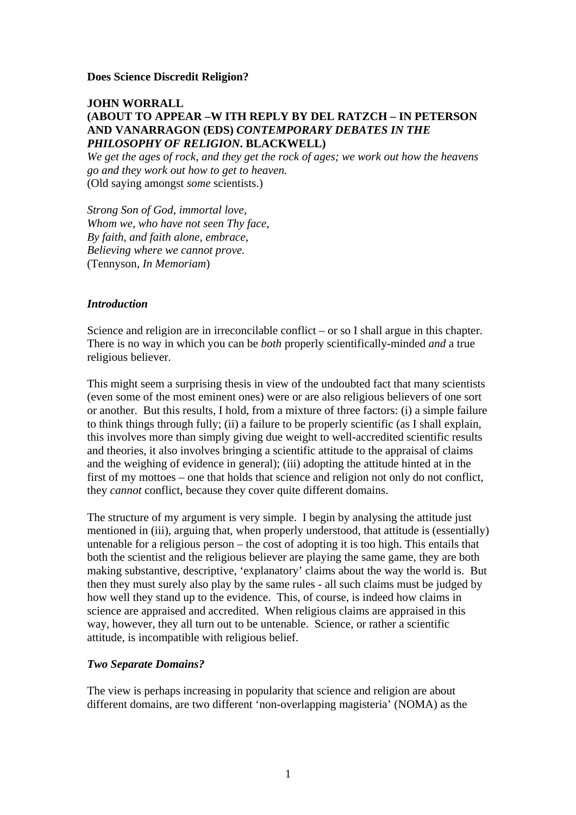**Does Science Discredit Religion?** 

# **JOHN WORRALL (ABOUT TO APPEAR –W ITH REPLY BY DEL RATZCH – IN PETERSON AND VANARRAGON (EDS)** *CONTEMPORARY DEBATES IN THE PHILOSOPHY OF RELIGION***. BLACKWELL)**

*We get the ages of rock, and they get the rock of ages; we work out how the heavens go and they work out how to get to heaven.*  (Old saying amongst *some* scientists.)

*Strong Son of God, immortal love, Whom we, who have not seen Thy face, By faith, and faith alone, embrace, Believing where we cannot prove.*  (Tennyson, *In Memoriam*)

## *Introduction*

Science and religion are in irreconcilable conflict – or so I shall argue in this chapter. There is no way in which you can be *both* properly scientifically-minded *and* a true religious believer.

This might seem a surprising thesis in view of the undoubted fact that many scientists (even some of the most eminent ones) were or are also religious believers of one sort or another. But this results, I hold, from a mixture of three factors: (i) a simple failure to think things through fully; (ii) a failure to be properly scientific (as I shall explain, this involves more than simply giving due weight to well-accredited scientific results and theories, it also involves bringing a scientific attitude to the appraisal of claims and the weighing of evidence in general); (iii) adopting the attitude hinted at in the first of my mottoes – one that holds that science and religion not only do not conflict, they *cannot* conflict, because they cover quite different domains.

The structure of my argument is very simple. I begin by analysing the attitude just mentioned in (iii), arguing that, when properly understood, that attitude is (essentially) untenable for a religious person – the cost of adopting it is too high. This entails that both the scientist and the religious believer are playing the same game, they are both making substantive, descriptive, 'explanatory' claims about the way the world is. But then they must surely also play by the same rules - all such claims must be judged by how well they stand up to the evidence. This, of course, is indeed how claims in science are appraised and accredited. When religious claims are appraised in this way, however, they all turn out to be untenable. Science, or rather a scientific attitude, is incompatible with religious belief.

## *Two Separate Domains?*

The view is perhaps increasing in popularity that science and religion are about different domains, are two different 'non-overlapping magisteria' (NOMA) as the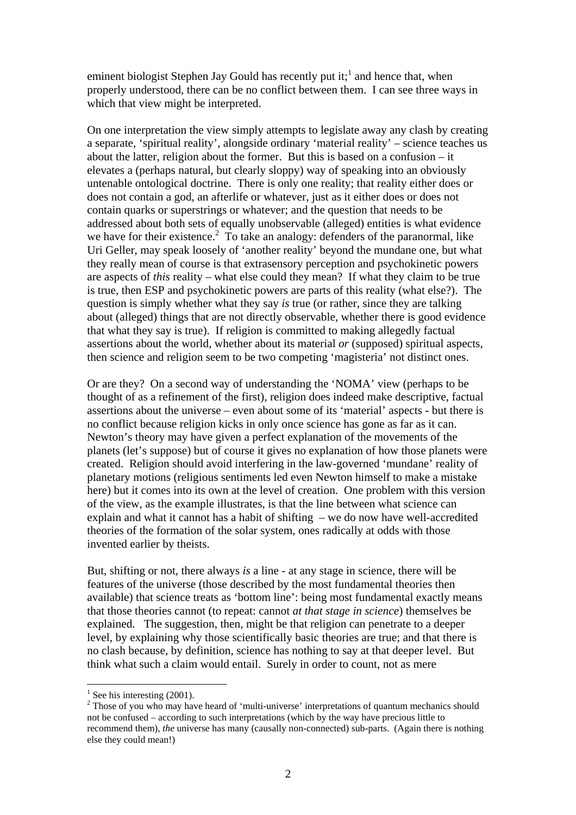eminent biologist Stephen Jay Gould has recently put it;<sup>1</sup> and hence that, when properly understood, there can be no conflict between them. I can see three ways in which that view might be interpreted.

On one interpretation the view simply attempts to legislate away any clash by creating a separate, 'spiritual reality', alongside ordinary 'material reality' – science teaches us about the latter, religion about the former. But this is based on a confusion – it elevates a (perhaps natural, but clearly sloppy) way of speaking into an obviously untenable ontological doctrine. There is only one reality; that reality either does or does not contain a god, an afterlife or whatever, just as it either does or does not contain quarks or superstrings or whatever; and the question that needs to be addressed about both sets of equally unobservable (alleged) entities is what evidence we have for their existence.<sup>2</sup> To take an analogy: defenders of the paranormal, like Uri Geller, may speak loosely of 'another reality' beyond the mundane one, but what they really mean of course is that extrasensory perception and psychokinetic powers are aspects of *this* reality – what else could they mean? If what they claim to be true is true, then ESP and psychokinetic powers are parts of this reality (what else?). The question is simply whether what they say *is* true (or rather, since they are talking about (alleged) things that are not directly observable, whether there is good evidence that what they say is true). If religion is committed to making allegedly factual assertions about the world, whether about its material *or* (supposed) spiritual aspects, then science and religion seem to be two competing 'magisteria' not distinct ones.

Or are they? On a second way of understanding the 'NOMA' view (perhaps to be thought of as a refinement of the first), religion does indeed make descriptive, factual assertions about the universe – even about some of its 'material' aspects - but there is no conflict because religion kicks in only once science has gone as far as it can. Newton's theory may have given a perfect explanation of the movements of the planets (let's suppose) but of course it gives no explanation of how those planets were created. Religion should avoid interfering in the law-governed 'mundane' reality of planetary motions (religious sentiments led even Newton himself to make a mistake here) but it comes into its own at the level of creation. One problem with this version of the view, as the example illustrates, is that the line between what science can explain and what it cannot has a habit of shifting – we do now have well-accredited theories of the formation of the solar system, ones radically at odds with those invented earlier by theists.

But, shifting or not, there always *is* a line - at any stage in science, there will be features of the universe (those described by the most fundamental theories then available) that science treats as 'bottom line': being most fundamental exactly means that those theories cannot (to repeat: cannot *at that stage in science*) themselves be explained. The suggestion, then, might be that religion can penetrate to a deeper level, by explaining why those scientifically basic theories are true; and that there is no clash because, by definition, science has nothing to say at that deeper level. But think what such a claim would entail. Surely in order to count, not as mere

<span id="page-1-0"></span><sup>&</sup>lt;sup>1</sup> See his interesting (2001).

<span id="page-1-1"></span><sup>&</sup>lt;sup>2</sup> Those of you who may have heard of 'multi-universe' interpretations of quantum mechanics should not be confused – according to such interpretations (which by the way have precious little to recommend them), *the* universe has many (causally non-connected) sub-parts. (Again there is nothing else they could mean!)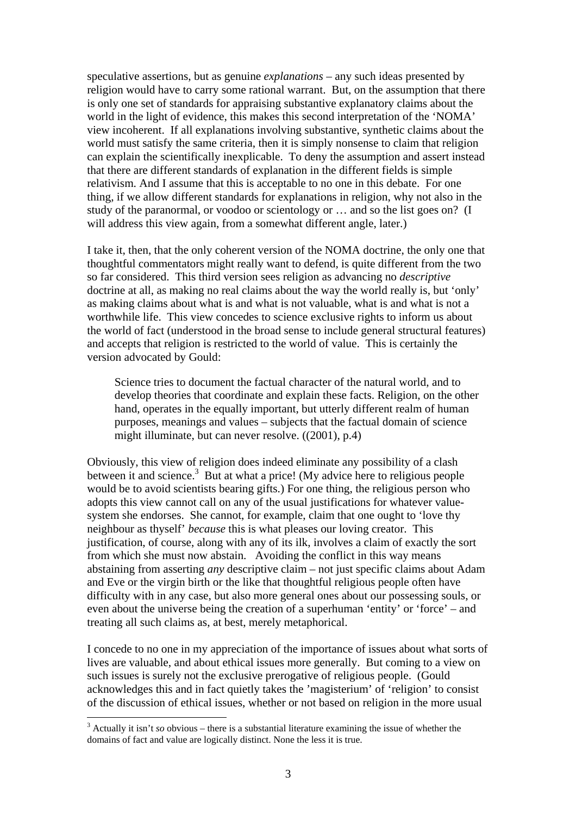speculative assertions, but as genuine *explanations* – any such ideas presented by religion would have to carry some rational warrant. But, on the assumption that there is only one set of standards for appraising substantive explanatory claims about the world in the light of evidence, this makes this second interpretation of the 'NOMA' view incoherent. If all explanations involving substantive, synthetic claims about the world must satisfy the same criteria, then it is simply nonsense to claim that religion can explain the scientifically inexplicable. To deny the assumption and assert instead that there are different standards of explanation in the different fields is simple relativism. And I assume that this is acceptable to no one in this debate. For one thing, if we allow different standards for explanations in religion, why not also in the study of the paranormal, or voodoo or scientology or … and so the list goes on? (I will address this view again, from a somewhat different angle, later.)

I take it, then, that the only coherent version of the NOMA doctrine, the only one that thoughtful commentators might really want to defend, is quite different from the two so far considered. This third version sees religion as advancing no *descriptive*  doctrine at all, as making no real claims about the way the world really is, but 'only' as making claims about what is and what is not valuable, what is and what is not a worthwhile life. This view concedes to science exclusive rights to inform us about the world of fact (understood in the broad sense to include general structural features) and accepts that religion is restricted to the world of value. This is certainly the version advocated by Gould:

Science tries to document the factual character of the natural world, and to develop theories that coordinate and explain these facts. Religion, on the other hand, operates in the equally important, but utterly different realm of human purposes, meanings and values – subjects that the factual domain of science might illuminate, but can never resolve. ((2001), p.4)

Obviously, this view of religion does indeed eliminate any possibility of a clash between it and science.<sup>3</sup> But at what a price! (My advice here to religious people would be to avoid scientists bearing gifts.) For one thing, the religious person who adopts this view cannot call on any of the usual justifications for whatever valuesystem she endorses. She cannot, for example, claim that one ought to 'love thy neighbour as thyself' *because* this is what pleases our loving creator. This justification, of course, along with any of its ilk, involves a claim of exactly the sort from which she must now abstain. Avoiding the conflict in this way means abstaining from asserting *any* descriptive claim – not just specific claims about Adam and Eve or the virgin birth or the like that thoughtful religious people often have difficulty with in any case, but also more general ones about our possessing souls, or even about the universe being the creation of a superhuman 'entity' or 'force' – and treating all such claims as, at best, merely metaphorical.

I concede to no one in my appreciation of the importance of issues about what sorts of lives are valuable, and about ethical issues more generally. But coming to a view on such issues is surely not the exclusive prerogative of religious people. (Gould acknowledges this and in fact quietly takes the 'magisterium' of 'religion' to consist of the discussion of ethical issues, whether or not based on religion in the more usual

<span id="page-2-0"></span><sup>3</sup> Actually it isn't *so* obvious – there is a substantial literature examining the issue of whether the domains of fact and value are logically distinct. None the less it is true.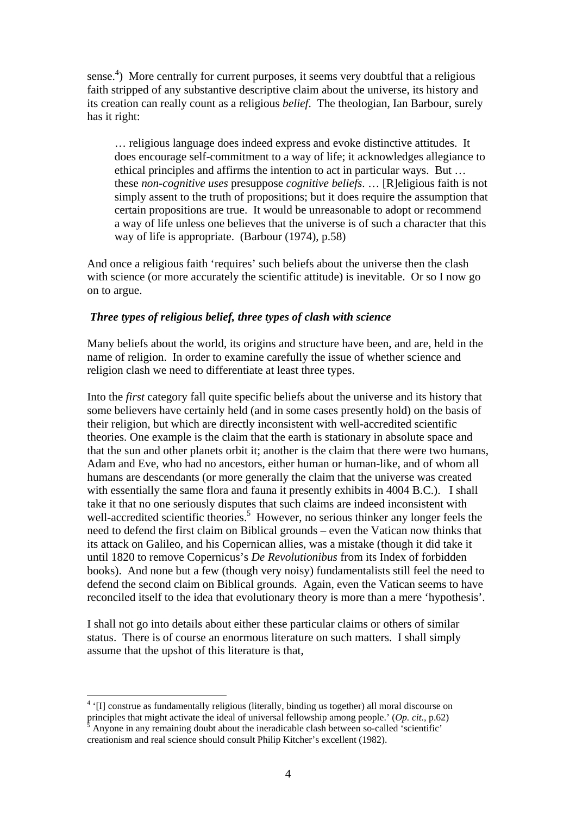sense.<sup>[4](#page-3-0)</sup>) More centrally for current purposes, it seems very doubtful that a religious faith stripped of any substantive descriptive claim about the universe, its history and its creation can really count as a religious *belief*. The theologian, Ian Barbour, surely has it right:

… religious language does indeed express and evoke distinctive attitudes. It does encourage self-commitment to a way of life; it acknowledges allegiance to ethical principles and affirms the intention to act in particular ways. But … these *non-cognitive uses* presuppose *cognitive beliefs*. … [R]eligious faith is not simply assent to the truth of propositions; but it does require the assumption that certain propositions are true. It would be unreasonable to adopt or recommend a way of life unless one believes that the universe is of such a character that this way of life is appropriate. (Barbour (1974), p.58)

And once a religious faith 'requires' such beliefs about the universe then the clash with science (or more accurately the scientific attitude) is inevitable. Or so I now go on to argue.

#### *Three types of religious belief, three types of clash with science*

Many beliefs about the world, its origins and structure have been, and are, held in the name of religion. In order to examine carefully the issue of whether science and religion clash we need to differentiate at least three types.

Into the *first* category fall quite specific beliefs about the universe and its history that some believers have certainly held (and in some cases presently hold) on the basis of their religion, but which are directly inconsistent with well-accredited scientific theories. One example is the claim that the earth is stationary in absolute space and that the sun and other planets orbit it; another is the claim that there were two humans, Adam and Eve, who had no ancestors, either human or human-like, and of whom all humans are descendants (or more generally the claim that the universe was created with essentially the same flora and fauna it presently exhibits in 4004 B.C.). I shall take it that no one seriously disputes that such claims are indeed inconsistent with well-accredited scientific theories.<sup>5</sup> However, no serious thinker any longer feels the need to defend the first claim on Biblical grounds – even the Vatican now thinks that its attack on Galileo, and his Copernican allies, was a mistake (though it did take it until 1820 to remove Copernicus's *De Revolutionibus* from its Index of forbidden books). And none but a few (though very noisy) fundamentalists still feel the need to defend the second claim on Biblical grounds. Again, even the Vatican seems to have reconciled itself to the idea that evolutionary theory is more than a mere 'hypothesis'.

I shall not go into details about either these particular claims or others of similar status. There is of course an enormous literature on such matters. I shall simply assume that the upshot of this literature is that,

<span id="page-3-0"></span><sup>&</sup>lt;sup>4</sup> '[I] construe as fundamentally religious (literally, binding us together) all moral discourse on principles that might activate the ideal of universal fellowship among people.' (*Op. cit.,* p.62) <sup>5</sup>

<span id="page-3-1"></span>Anyone in any remaining doubt about the ineradicable clash between so-called 'scientific' creationism and real science should consult Philip Kitcher's excellent (1982).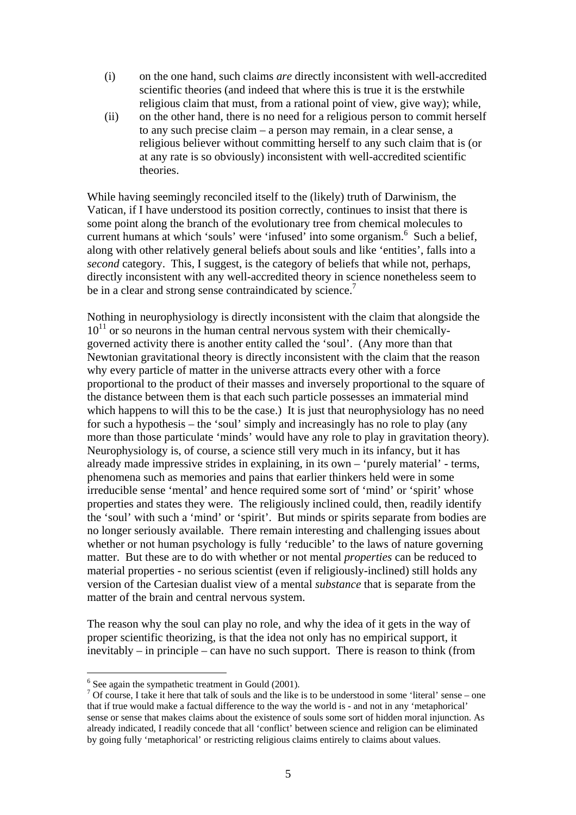- (i) on the one hand, such claims *are* directly inconsistent with well-accredited scientific theories (and indeed that where this is true it is the erstwhile religious claim that must, from a rational point of view, give way); while,
- (ii) on the other hand, there is no need for a religious person to commit herself to any such precise claim – a person may remain, in a clear sense, a religious believer without committing herself to any such claim that is (or at any rate is so obviously) inconsistent with well-accredited scientific theories.

While having seemingly reconciled itself to the (likely) truth of Darwinism, the Vatican, if I have understood its position correctly, continues to insist that there is some point along the branch of the evolutionary tree from chemical molecules to current humans at which 'souls' were 'infused' into some organism. 6 Such a belief, along with other relatively general beliefs about souls and like 'entities', falls into a *second* category. This, I suggest, is the category of beliefs that while not, perhaps, directly inconsistent with any well-accredited theory in science nonetheless seem to be in a clear and strong sense contraindicated by science.<sup>7</sup>

Nothing in neurophysiology is directly inconsistent with the claim that alongside the  $10^{11}$  or so neurons in the human central nervous system with their chemicallygoverned activity there is another entity called the 'soul'. (Any more than that Newtonian gravitational theory is directly inconsistent with the claim that the reason why every particle of matter in the universe attracts every other with a force proportional to the product of their masses and inversely proportional to the square of the distance between them is that each such particle possesses an immaterial mind which happens to will this to be the case.) It is just that neurophysiology has no need for such a hypothesis – the 'soul' simply and increasingly has no role to play (any more than those particulate 'minds' would have any role to play in gravitation theory). Neurophysiology is, of course, a science still very much in its infancy, but it has already made impressive strides in explaining, in its own – 'purely material' - terms, phenomena such as memories and pains that earlier thinkers held were in some irreducible sense 'mental' and hence required some sort of 'mind' or 'spirit' whose properties and states they were. The religiously inclined could, then, readily identify the 'soul' with such a 'mind' or 'spirit'. But minds or spirits separate from bodies are no longer seriously available. There remain interesting and challenging issues about whether or not human psychology is fully 'reducible' to the laws of nature governing matter. But these are to do with whether or not mental *properties* can be reduced to material properties - no serious scientist (even if religiously-inclined) still holds any version of the Cartesian dualist view of a mental *substance* that is separate from the matter of the brain and central nervous system.

The reason why the soul can play no role, and why the idea of it gets in the way of proper scientific theorizing, is that the idea not only has no empirical support, it inevitably – in principle – can have no such support. There is reason to think (from

<span id="page-4-0"></span><sup>&</sup>lt;sup>6</sup> See again the sympathetic treatment in Gould (2001).<br><sup>7</sup> Of gourse, I take it hars that talk of gouls and the like i

<span id="page-4-1"></span> $\frac{1}{10}$  Of course. I take it here that talk of souls and the like is to be understood in some 'literal' sense – one that if true would make a factual difference to the way the world is - and not in any 'metaphorical' sense or sense that makes claims about the existence of souls some sort of hidden moral injunction. As already indicated, I readily concede that all 'conflict' between science and religion can be eliminated by going fully 'metaphorical' or restricting religious claims entirely to claims about values.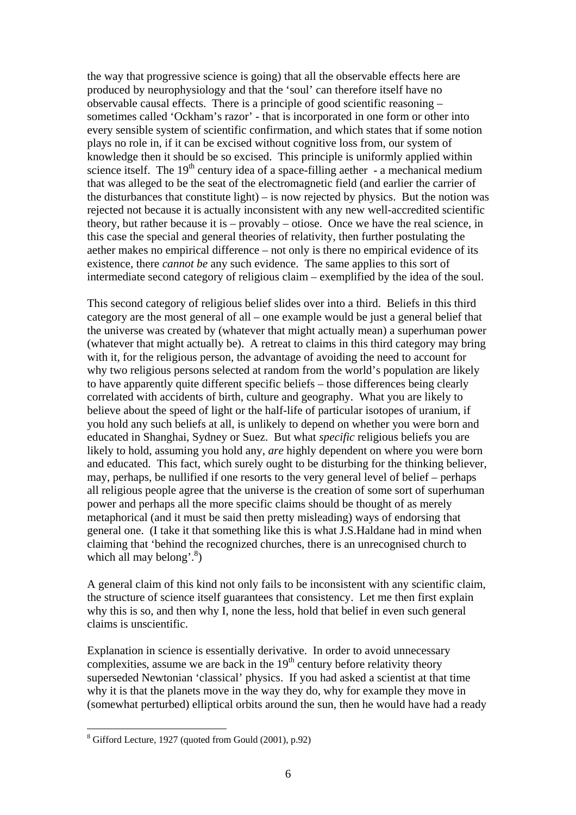the way that progressive science is going) that all the observable effects here are produced by neurophysiology and that the 'soul' can therefore itself have no observable causal effects. There is a principle of good scientific reasoning – sometimes called 'Ockham's razor' - that is incorporated in one form or other into every sensible system of scientific confirmation, and which states that if some notion plays no role in, if it can be excised without cognitive loss from, our system of knowledge then it should be so excised. This principle is uniformly applied within science itself. The  $19<sup>th</sup>$  century idea of a space-filling aether - a mechanical medium that was alleged to be the seat of the electromagnetic field (and earlier the carrier of the disturbances that constitute light) – is now rejected by physics. But the notion was rejected not because it is actually inconsistent with any new well-accredited scientific theory, but rather because it is – provably – otiose. Once we have the real science, in this case the special and general theories of relativity, then further postulating the aether makes no empirical difference – not only is there no empirical evidence of its existence, there *cannot be* any such evidence. The same applies to this sort of intermediate second category of religious claim – exemplified by the idea of the soul.

This second category of religious belief slides over into a third. Beliefs in this third category are the most general of all – one example would be just a general belief that the universe was created by (whatever that might actually mean) a superhuman power (whatever that might actually be). A retreat to claims in this third category may bring with it, for the religious person, the advantage of avoiding the need to account for why two religious persons selected at random from the world's population are likely to have apparently quite different specific beliefs – those differences being clearly correlated with accidents of birth, culture and geography. What you are likely to believe about the speed of light or the half-life of particular isotopes of uranium, if you hold any such beliefs at all, is unlikely to depend on whether you were born and educated in Shanghai, Sydney or Suez. But what *specific* religious beliefs you are likely to hold, assuming you hold any, *are* highly dependent on where you were born and educated. This fact, which surely ought to be disturbing for the thinking believer, may, perhaps, be nullified if one resorts to the very general level of belief – perhaps all religious people agree that the universe is the creation of some sort of superhuman power and perhaps all the more specific claims should be thought of as merely metaphorical (and it must be said then pretty misleading) ways of endorsing that general one. (I take it that something like this is what J.S.Haldane had in mind when claiming that 'behind the recognized churches, there is an unrecognised church to which all may belong'.<sup>[8](#page-5-0)</sup>)

A general claim of this kind not only fails to be inconsistent with any scientific claim, the structure of science itself guarantees that consistency. Let me then first explain why this is so, and then why I, none the less, hold that belief in even such general claims is unscientific.

Explanation in science is essentially derivative. In order to avoid unnecessary complexities, assume we are back in the  $19<sup>th</sup>$  century before relativity theory superseded Newtonian 'classical' physics. If you had asked a scientist at that time why it is that the planets move in the way they do, why for example they move in (somewhat perturbed) elliptical orbits around the sun, then he would have had a ready

<span id="page-5-0"></span> 8 Gifford Lecture, 1927 (quoted from Gould (2001), p.92)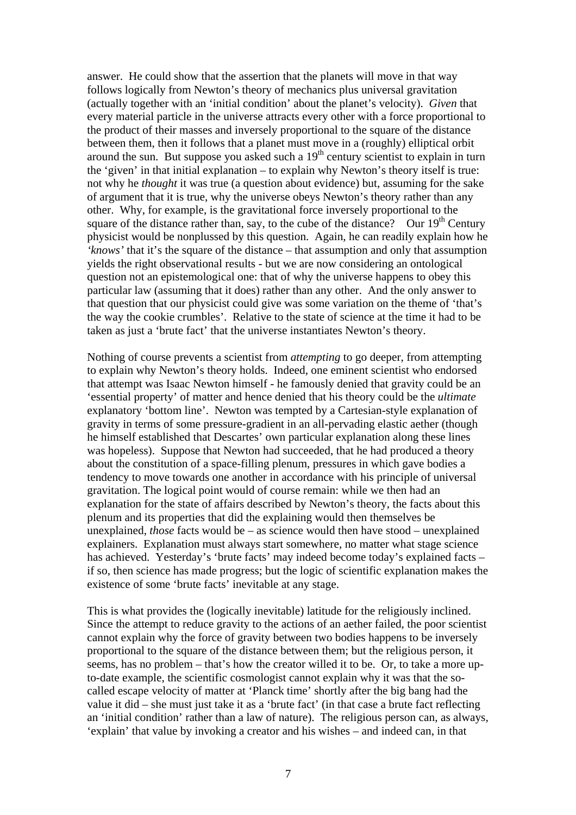answer. He could show that the assertion that the planets will move in that way follows logically from Newton's theory of mechanics plus universal gravitation (actually together with an 'initial condition' about the planet's velocity). *Given* that every material particle in the universe attracts every other with a force proportional to the product of their masses and inversely proportional to the square of the distance between them, then it follows that a planet must move in a (roughly) elliptical orbit around the sun. But suppose you asked such a  $19<sup>th</sup>$  century scientist to explain in turn the 'given' in that initial explanation – to explain why Newton's theory itself is true: not why he *thought* it was true (a question about evidence) but, assuming for the sake of argument that it is true, why the universe obeys Newton's theory rather than any other. Why, for example, is the gravitational force inversely proportional to the square of the distance rather than, say, to the cube of the distance? Our  $19<sup>th</sup>$  Century physicist would be nonplussed by this question. Again, he can readily explain how he *'knows'* that it's the square of the distance – that assumption and only that assumption yields the right observational results - but we are now considering an ontological question not an epistemological one: that of why the universe happens to obey this particular law (assuming that it does) rather than any other. And the only answer to that question that our physicist could give was some variation on the theme of 'that's the way the cookie crumbles'. Relative to the state of science at the time it had to be taken as just a 'brute fact' that the universe instantiates Newton's theory.

Nothing of course prevents a scientist from *attempting* to go deeper, from attempting to explain why Newton's theory holds. Indeed, one eminent scientist who endorsed that attempt was Isaac Newton himself - he famously denied that gravity could be an 'essential property' of matter and hence denied that his theory could be the *ultimate* explanatory 'bottom line'. Newton was tempted by a Cartesian-style explanation of gravity in terms of some pressure-gradient in an all-pervading elastic aether (though he himself established that Descartes' own particular explanation along these lines was hopeless). Suppose that Newton had succeeded, that he had produced a theory about the constitution of a space-filling plenum, pressures in which gave bodies a tendency to move towards one another in accordance with his principle of universal gravitation. The logical point would of course remain: while we then had an explanation for the state of affairs described by Newton's theory, the facts about this plenum and its properties that did the explaining would then themselves be unexplained, *those* facts would be – as science would then have stood – unexplained explainers. Explanation must always start somewhere, no matter what stage science has achieved. Yesterday's 'brute facts' may indeed become today's explained facts – if so, then science has made progress; but the logic of scientific explanation makes the existence of some 'brute facts' inevitable at any stage.

This is what provides the (logically inevitable) latitude for the religiously inclined. Since the attempt to reduce gravity to the actions of an aether failed, the poor scientist cannot explain why the force of gravity between two bodies happens to be inversely proportional to the square of the distance between them; but the religious person, it seems, has no problem – that's how the creator willed it to be. Or, to take a more upto-date example, the scientific cosmologist cannot explain why it was that the socalled escape velocity of matter at 'Planck time' shortly after the big bang had the value it did – she must just take it as a 'brute fact' (in that case a brute fact reflecting an 'initial condition' rather than a law of nature). The religious person can, as always, 'explain' that value by invoking a creator and his wishes – and indeed can, in that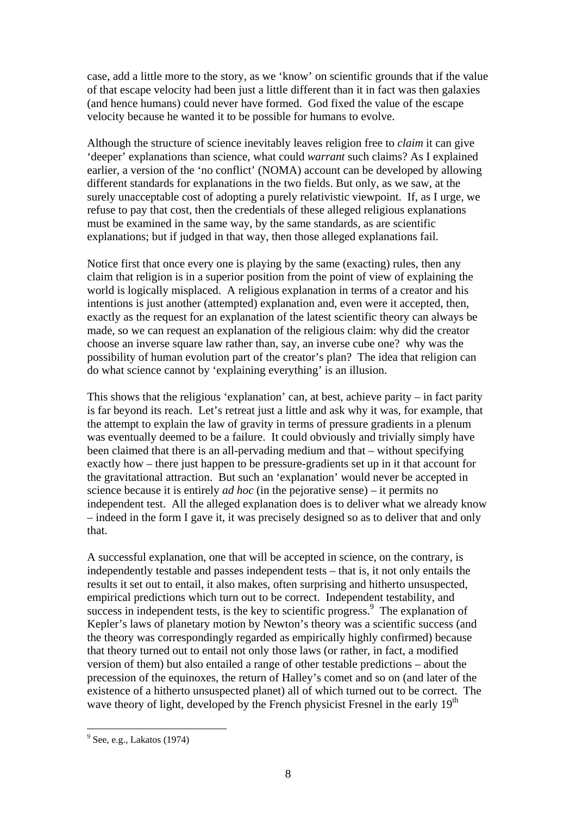case, add a little more to the story, as we 'know' on scientific grounds that if the value of that escape velocity had been just a little different than it in fact was then galaxies (and hence humans) could never have formed. God fixed the value of the escape velocity because he wanted it to be possible for humans to evolve.

Although the structure of science inevitably leaves religion free to *claim* it can give 'deeper' explanations than science, what could *warrant* such claims? As I explained earlier, a version of the 'no conflict' (NOMA) account can be developed by allowing different standards for explanations in the two fields. But only, as we saw, at the surely unacceptable cost of adopting a purely relativistic viewpoint. If, as I urge, we refuse to pay that cost, then the credentials of these alleged religious explanations must be examined in the same way, by the same standards, as are scientific explanations; but if judged in that way, then those alleged explanations fail.

Notice first that once every one is playing by the same (exacting) rules, then any claim that religion is in a superior position from the point of view of explaining the world is logically misplaced. A religious explanation in terms of a creator and his intentions is just another (attempted) explanation and, even were it accepted, then, exactly as the request for an explanation of the latest scientific theory can always be made, so we can request an explanation of the religious claim: why did the creator choose an inverse square law rather than, say, an inverse cube one? why was the possibility of human evolution part of the creator's plan? The idea that religion can do what science cannot by 'explaining everything' is an illusion.

This shows that the religious 'explanation' can, at best, achieve parity – in fact parity is far beyond its reach. Let's retreat just a little and ask why it was, for example, that the attempt to explain the law of gravity in terms of pressure gradients in a plenum was eventually deemed to be a failure. It could obviously and trivially simply have been claimed that there is an all-pervading medium and that – without specifying exactly how – there just happen to be pressure-gradients set up in it that account for the gravitational attraction. But such an 'explanation' would never be accepted in science because it is entirely *ad hoc* (in the pejorative sense) – it permits no independent test. All the alleged explanation does is to deliver what we already know – indeed in the form I gave it, it was precisely designed so as to deliver that and only that.

A successful explanation, one that will be accepted in science, on the contrary, is independently testable and passes independent tests – that is, it not only entails the results it set out to entail, it also makes, often surprising and hitherto unsuspected, empirical predictions which turn out to be correct. Independent testability, and success in independent tests, is the key to scientific progress. $\frac{9}{10}$  $\frac{9}{10}$  $\frac{9}{10}$  The explanation of Kepler's laws of planetary motion by Newton's theory was a scientific success (and the theory was correspondingly regarded as empirically highly confirmed) because that theory turned out to entail not only those laws (or rather, in fact, a modified version of them) but also entailed a range of other testable predictions – about the precession of the equinoxes, the return of Halley's comet and so on (and later of the existence of a hitherto unsuspected planet) all of which turned out to be correct. The wave theory of light, developed by the French physicist Fresnel in the early  $19<sup>th</sup>$ 

<span id="page-7-0"></span><sup>&</sup>lt;sup>9</sup> See, e.g., Lakatos (1974)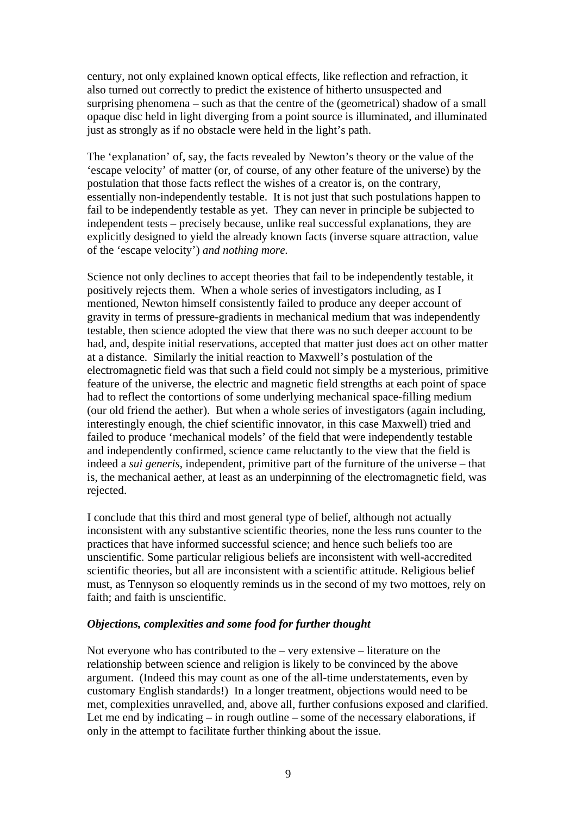century, not only explained known optical effects, like reflection and refraction, it also turned out correctly to predict the existence of hitherto unsuspected and surprising phenomena – such as that the centre of the (geometrical) shadow of a small opaque disc held in light diverging from a point source is illuminated, and illuminated just as strongly as if no obstacle were held in the light's path.

The 'explanation' of, say, the facts revealed by Newton's theory or the value of the 'escape velocity' of matter (or, of course, of any other feature of the universe) by the postulation that those facts reflect the wishes of a creator is, on the contrary, essentially non-independently testable. It is not just that such postulations happen to fail to be independently testable as yet. They can never in principle be subjected to independent tests – precisely because, unlike real successful explanations, they are explicitly designed to yield the already known facts (inverse square attraction, value of the 'escape velocity') *and nothing more.* 

Science not only declines to accept theories that fail to be independently testable, it positively rejects them. When a whole series of investigators including, as I mentioned, Newton himself consistently failed to produce any deeper account of gravity in terms of pressure-gradients in mechanical medium that was independently testable, then science adopted the view that there was no such deeper account to be had, and, despite initial reservations, accepted that matter just does act on other matter at a distance. Similarly the initial reaction to Maxwell's postulation of the electromagnetic field was that such a field could not simply be a mysterious, primitive feature of the universe, the electric and magnetic field strengths at each point of space had to reflect the contortions of some underlying mechanical space-filling medium (our old friend the aether). But when a whole series of investigators (again including, interestingly enough, the chief scientific innovator, in this case Maxwell) tried and failed to produce 'mechanical models' of the field that were independently testable and independently confirmed, science came reluctantly to the view that the field is indeed a *sui generis*, independent, primitive part of the furniture of the universe – that is, the mechanical aether, at least as an underpinning of the electromagnetic field, was rejected.

I conclude that this third and most general type of belief, although not actually inconsistent with any substantive scientific theories, none the less runs counter to the practices that have informed successful science; and hence such beliefs too are unscientific. Some particular religious beliefs are inconsistent with well-accredited scientific theories, but all are inconsistent with a scientific attitude. Religious belief must, as Tennyson so eloquently reminds us in the second of my two mottoes, rely on faith; and faith is unscientific.

## *Objections, complexities and some food for further thought*

Not everyone who has contributed to the – very extensive – literature on the relationship between science and religion is likely to be convinced by the above argument. (Indeed this may count as one of the all-time understatements, even by customary English standards!) In a longer treatment, objections would need to be met, complexities unravelled, and, above all, further confusions exposed and clarified. Let me end by indicating – in rough outline – some of the necessary elaborations, if only in the attempt to facilitate further thinking about the issue.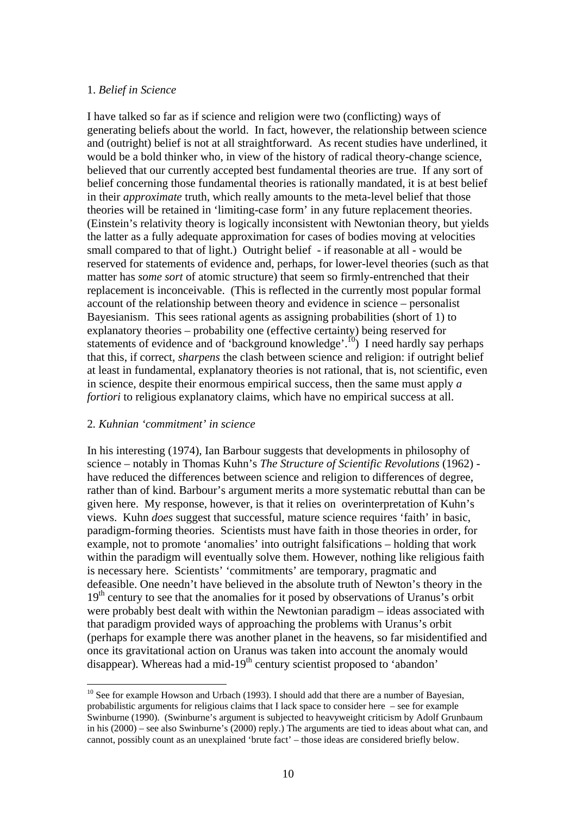#### 1. *Belief in Science*

I have talked so far as if science and religion were two (conflicting) ways of generating beliefs about the world. In fact, however, the relationship between science and (outright) belief is not at all straightforward. As recent studies have underlined, it would be a bold thinker who, in view of the history of radical theory-change science, believed that our currently accepted best fundamental theories are true. If any sort of belief concerning those fundamental theories is rationally mandated, it is at best belief in their *approximate* truth, which really amounts to the meta-level belief that those theories will be retained in 'limiting-case form' in any future replacement theories. (Einstein's relativity theory is logically inconsistent with Newtonian theory, but yields the latter as a fully adequate approximation for cases of bodies moving at velocities small compared to that of light.) Outright belief - if reasonable at all - would be reserved for statements of evidence and, perhaps, for lower-level theories (such as that matter has *some sort* of atomic structure) that seem so firmly-entrenched that their replacement is inconceivable. (This is reflected in the currently most popular formal account of the relationship between theory and evidence in science – personalist Bayesianism. This sees rational agents as assigning probabilities (short of 1) to explanatory theories – probability one (effective certainty) being reserved for statements of evidence and of 'background knowledge'.<sup>10</sup>) I need hardly say perhaps that this, if correct, *sharpens* the clash between science and religion: if outright belief at least in fundamental, explanatory theories is not rational, that is, not scientific, even in science, despite their enormous empirical success, then the same must apply *a fortiori* to religious explanatory claims, which have no empirical success at all.

## 2*. Kuhnian 'commitment' in science*

 $\overline{a}$ 

In his interesting (1974), Ian Barbour suggests that developments in philosophy of science – notably in Thomas Kuhn's *The Structure of Scientific Revolutions* (1962) have reduced the differences between science and religion to differences of degree, rather than of kind. Barbour's argument merits a more systematic rebuttal than can be given here. My response, however, is that it relies on overinterpretation of Kuhn's views. Kuhn *does* suggest that successful, mature science requires 'faith' in basic, paradigm-forming theories. Scientists must have faith in those theories in order, for example, not to promote 'anomalies' into outright falsifications – holding that work within the paradigm will eventually solve them. However, nothing like religious faith is necessary here. Scientists' 'commitments' are temporary, pragmatic and defeasible. One needn't have believed in the absolute truth of Newton's theory in the 19<sup>th</sup> century to see that the anomalies for it posed by observations of Uranus's orbit were probably best dealt with within the Newtonian paradigm – ideas associated with that paradigm provided ways of approaching the problems with Uranus's orbit (perhaps for example there was another planet in the heavens, so far misidentified and once its gravitational action on Uranus was taken into account the anomaly would disappear). Whereas had a mid-19<sup>th</sup> century scientist proposed to 'abandon'

<span id="page-9-0"></span> $10$  See for example Howson and Urbach (1993). I should add that there are a number of Bayesian, probabilistic arguments for religious claims that I lack space to consider here – see for example Swinburne (1990). (Swinburne's argument is subjected to heavyweight criticism by Adolf Grunbaum in his (2000) – see also Swinburne's (2000) reply.) The arguments are tied to ideas about what can, and cannot, possibly count as an unexplained 'brute fact' – those ideas are considered briefly below.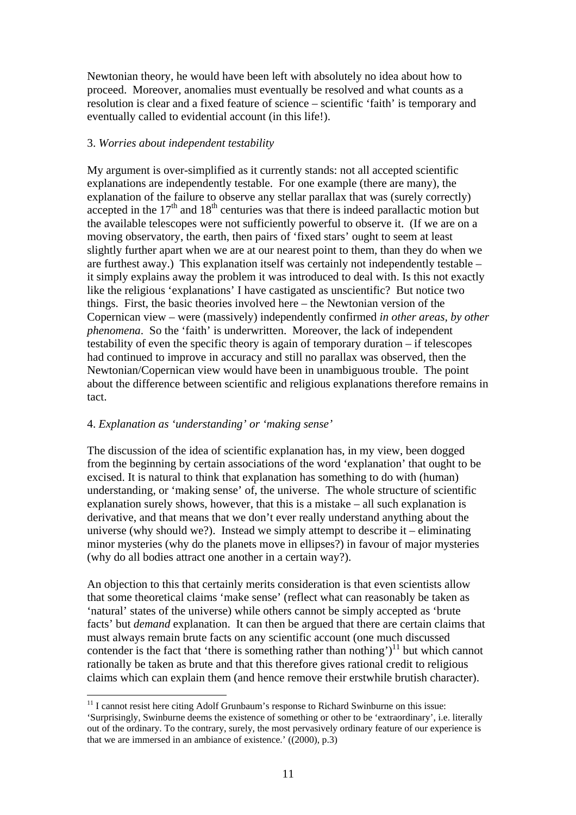Newtonian theory, he would have been left with absolutely no idea about how to proceed. Moreover, anomalies must eventually be resolved and what counts as a resolution is clear and a fixed feature of science – scientific 'faith' is temporary and eventually called to evidential account (in this life!).

# 3. *Worries about independent testability*

My argument is over-simplified as it currently stands: not all accepted scientific explanations are independently testable. For one example (there are many), the explanation of the failure to observe any stellar parallax that was (surely correctly) accepted in the  $17<sup>th</sup>$  and  $18<sup>th</sup>$  centuries was that there is indeed parallactic motion but the available telescopes were not sufficiently powerful to observe it. (If we are on a moving observatory, the earth, then pairs of 'fixed stars' ought to seem at least slightly further apart when we are at our nearest point to them, than they do when we are furthest away.) This explanation itself was certainly not independently testable – it simply explains away the problem it was introduced to deal with. Is this not exactly like the religious 'explanations' I have castigated as unscientific? But notice two things. First, the basic theories involved here – the Newtonian version of the Copernican view – were (massively) independently confirmed *in other areas, by other phenomena*. So the 'faith' is underwritten. Moreover, the lack of independent testability of even the specific theory is again of temporary duration – if telescopes had continued to improve in accuracy and still no parallax was observed, then the Newtonian/Copernican view would have been in unambiguous trouble. The point about the difference between scientific and religious explanations therefore remains in tact.

# 4. *Explanation as 'understanding' or 'making sense'*

 $\overline{a}$ 

The discussion of the idea of scientific explanation has, in my view, been dogged from the beginning by certain associations of the word 'explanation' that ought to be excised. It is natural to think that explanation has something to do with (human) understanding, or 'making sense' of, the universe. The whole structure of scientific explanation surely shows, however, that this is a mistake – all such explanation is derivative, and that means that we don't ever really understand anything about the universe (why should we?). Instead we simply attempt to describe it – eliminating minor mysteries (why do the planets move in ellipses?) in favour of major mysteries (why do all bodies attract one another in a certain way?).

An objection to this that certainly merits consideration is that even scientists allow that some theoretical claims 'make sense' (reflect what can reasonably be taken as 'natural' states of the universe) while others cannot be simply accepted as 'brute facts' but *demand* explanation. It can then be argued that there are certain claims that must always remain brute facts on any scientific account (one much discussed contender is the fact that 'there is something rather than nothing')<sup>11</sup> but which cannot rationally be taken as brute and that this therefore gives rational credit to religious claims which can explain them (and hence remove their erstwhile brutish character).

<span id="page-10-0"></span> $11$  I cannot resist here citing Adolf Grunbaum's response to Richard Swinburne on this issue: 'Surprisingly, Swinburne deems the existence of something or other to be 'extraordinary', i.e. literally out of the ordinary. To the contrary, surely, the most pervasively ordinary feature of our experience is that we are immersed in an ambiance of existence.' ((2000), p.3)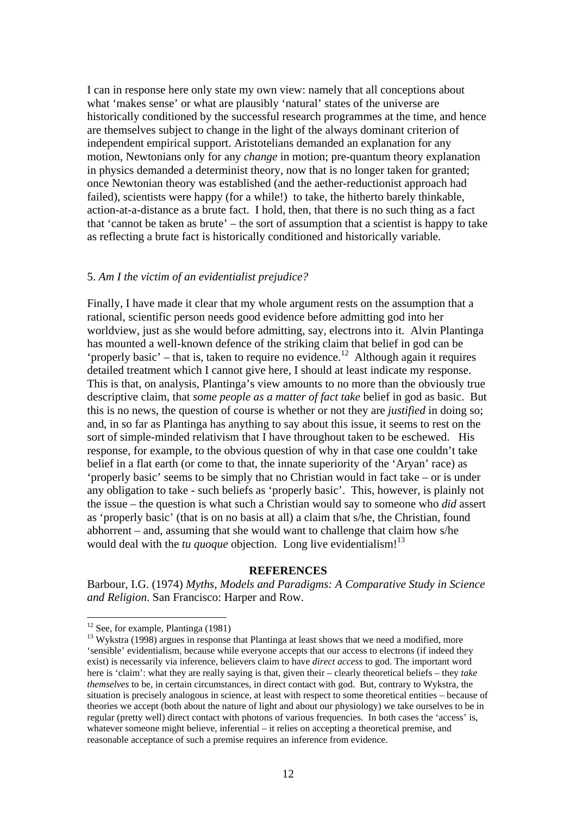I can in response here only state my own view: namely that all conceptions about what 'makes sense' or what are plausibly 'natural' states of the universe are historically conditioned by the successful research programmes at the time, and hence are themselves subject to change in the light of the always dominant criterion of independent empirical support. Aristotelians demanded an explanation for any motion, Newtonians only for any *change* in motion; pre-quantum theory explanation in physics demanded a determinist theory, now that is no longer taken for granted; once Newtonian theory was established (and the aether-reductionist approach had failed), scientists were happy (for a while!) to take, the hitherto barely thinkable, action-at-a-distance as a brute fact. I hold, then, that there is no such thing as a fact that 'cannot be taken as brute' – the sort of assumption that a scientist is happy to take as reflecting a brute fact is historically conditioned and historically variable.

#### 5. *Am I the victim of an evidentialist prejudice?*

Finally, I have made it clear that my whole argument rests on the assumption that a rational, scientific person needs good evidence before admitting god into her worldview, just as she would before admitting, say, electrons into it. Alvin Plantinga has mounted a well-known defence of the striking claim that belief in god can be 'properly basic' – that is, taken to require no evidence.<sup>12</sup> Although again it requires detailed treatment which I cannot give here, I should at least indicate my response. This is that, on analysis, Plantinga's view amounts to no more than the obviously true descriptive claim, that *some people as a matter of fact take* belief in god as basic. But this is no news, the question of course is whether or not they are *justified* in doing so; and, in so far as Plantinga has anything to say about this issue, it seems to rest on the sort of simple-minded relativism that I have throughout taken to be eschewed. His response, for example, to the obvious question of why in that case one couldn't take belief in a flat earth (or come to that, the innate superiority of the 'Aryan' race) as 'properly basic' seems to be simply that no Christian would in fact take – or is under any obligation to take - such beliefs as 'properly basic'. This, however, is plainly not the issue – the question is what such a Christian would say to someone who *did* assert as 'properly basic' (that is on no basis at all) a claim that s/he, the Christian, found abhorrent – and, assuming that she would want to challenge that claim how s/he would deal with the *tu quoque* objection. Long live evidentialism!<sup>[13](#page-11-1)</sup>

#### **REFERENCES**

Barbour, I.G. (1974) *Myths, Models and Paradigms: A Comparative Study in Science and Religion*. San Francisco: Harper and Row.

<span id="page-11-0"></span> $12$  See, for example, Plantinga (1981)

<span id="page-11-1"></span> $13$  Wykstra (1998) argues in response that Plantinga at least shows that we need a modified, more 'sensible' evidentialism, because while everyone accepts that our access to electrons (if indeed they exist) is necessarily via inference, believers claim to have *direct access* to god. The important word here is 'claim': what they are really saying is that, given their – clearly theoretical beliefs – they *take themselves* to be, in certain circumstances, in direct contact with god. But, contrary to Wykstra, the situation is precisely analogous in science, at least with respect to some theoretical entities – because of theories we accept (both about the nature of light and about our physiology) we take ourselves to be in regular (pretty well) direct contact with photons of various frequencies. In both cases the 'access' is, whatever someone might believe, inferential – it relies on accepting a theoretical premise, and reasonable acceptance of such a premise requires an inference from evidence.